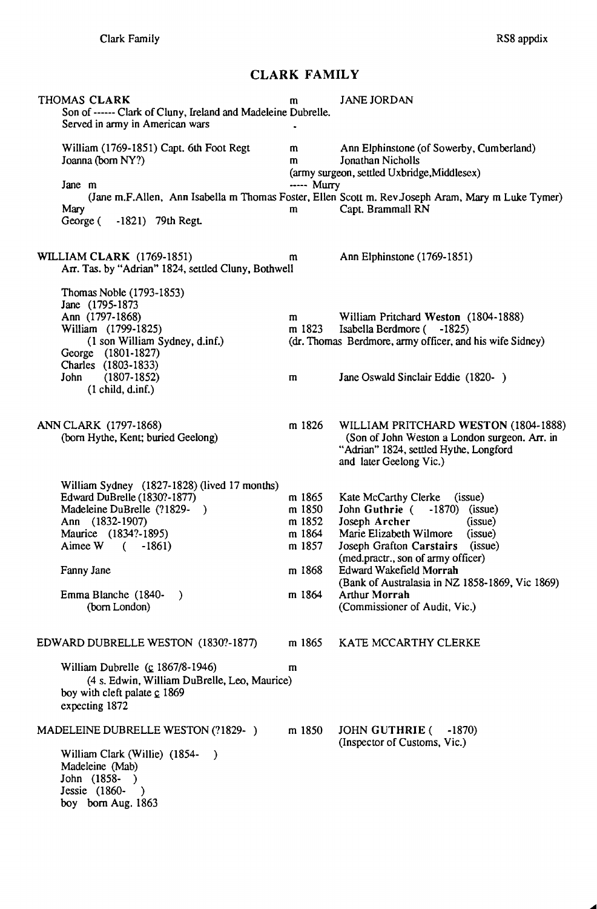## **CLARK FAMILY**

| THOMAS CLARK<br>Son of ------ Clark of Cluny, Ireland and Madeleine Dubrelle.<br>Served in army in American wars                                                                                                                               | m                                                                  | <b>JANE JORDAN</b>                                                                                                                                                                                                                                                                                                                        |
|------------------------------------------------------------------------------------------------------------------------------------------------------------------------------------------------------------------------------------------------|--------------------------------------------------------------------|-------------------------------------------------------------------------------------------------------------------------------------------------------------------------------------------------------------------------------------------------------------------------------------------------------------------------------------------|
| William (1769-1851) Capt. 6th Foot Regt<br>Joanna (born NY?)<br>Jane m                                                                                                                                                                         | m<br>$\mathbf{m}$<br>----- Murry                                   | Ann Elphinstone (of Sowerby, Cumberland)<br>Jonathan Nicholls<br>(army surgeon, settled Uxbridge, Middlesex)                                                                                                                                                                                                                              |
| Mary<br>George ( -1821) 79th Regt.                                                                                                                                                                                                             | m                                                                  | (Jane m.F.Allen, Ann Isabella m Thomas Foster, Ellen Scott m. Rev.Joseph Aram, Mary m Luke Tymer)<br>Capt. Brammall RN                                                                                                                                                                                                                    |
| <b>WILLIAM CLARK</b> (1769-1851)<br>Arr. Tas. by "Adrian" 1824, settled Cluny, Bothwell                                                                                                                                                        | m                                                                  | Ann Elphinstone (1769-1851)                                                                                                                                                                                                                                                                                                               |
| Thomas Noble (1793-1853)<br>Jane (1795-1873)<br>Ann (1797-1868)<br>William (1799-1825)<br>(1 son William Sydney, d.inf.)<br>George (1801-1827)<br>Charles (1803-1833)<br>John (1807-1852)<br>(1 child, d.inf.)                                 | m<br>m 1823<br>m                                                   | William Pritchard Weston (1804-1888)<br>Isabella Berdmore ( -1825)<br>(dr. Thomas Berdmore, army officer, and his wife Sidney)<br>Jane Oswald Sinclair Eddie (1820-)                                                                                                                                                                      |
| ANN CLARK (1797-1868)<br>(born Hythe, Kent; buried Geelong)                                                                                                                                                                                    | m 1826                                                             | WILLIAM PRITCHARD WESTON (1804-1888)<br>(Son of John Weston a London surgeon. Arr. in<br>"Adrian" 1824, settled Hythe, Longford<br>and later Geelong Vic.)                                                                                                                                                                                |
| William Sydney (1827-1828) (lived 17 months)<br>Edward DuBrelle (1830?-1877)<br>Madeleine DuBrelle (?1829-)<br>Ann (1832-1907)<br>Maurice (1834?-1895)<br>Aimee W $(-1861)$<br>Fanny Jane<br>Emma Blanche (1840-<br>$\lambda$<br>(born London) | m 1865<br>m 1850<br>m 1852<br>m 1864<br>m 1857<br>m 1868<br>m 1864 | Kate McCarthy Clerke (issue)<br>John Guthrie ( -1870) (issue)<br>Joseph Archer<br>(issue)<br>Marie Elizabeth Wilmore<br>(issue)<br>Joseph Grafton Carstairs (issue)<br>(med.practr., son of army officer)<br>Edward Wakefield Morrah<br>(Bank of Australasia in NZ 1858-1869, Vic 1869)<br>Arthur Morrah<br>(Commissioner of Audit, Vic.) |
| EDWARD DUBRELLE WESTON (1830?-1877)<br>William Dubrelle $(c$ 1867/8-1946)<br>(4 s. Edwin, William DuBrelle, Leo, Maurice)<br>boy with cleft palate $\mathbf{c}$ 1869<br>expecting 1872                                                         | m 1865<br>m                                                        | KATE MCCARTHY CLERKE                                                                                                                                                                                                                                                                                                                      |
| MADELEINE DUBRELLE WESTON (?1829-)<br>William Clark (Willie) (1854-<br>$\rightarrow$<br>Madeleine (Mab)<br>John (1858- )<br>Jessie (1860-)<br>boy born Aug. 1863                                                                               | m 1850                                                             | JOHN GUTHRIE (<br>$-1870$<br>(Inspector of Customs, Vic.)                                                                                                                                                                                                                                                                                 |